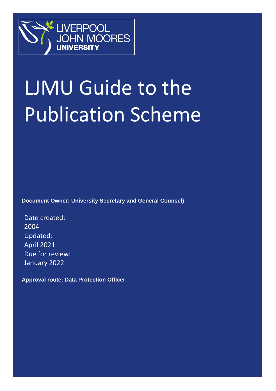

# LJMU Guide to the Publication Scheme

**Document Owner: University Secretary and General Counsel)** 

Date created: 2004 Updated: April 2021 Due for review: January 2022

**Approval route: Data Protection Officer**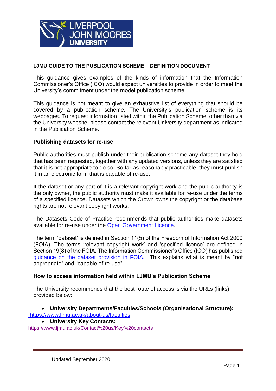

#### **LJMU GUIDE TO THE PUBLICATION SCHEME – DEFINITION DOCUMENT**

This guidance gives examples of the kinds of information that the Information Commissioner's Office (ICO) would expect universities to provide in order to meet the University's commitment under the model publication scheme.

This guidance is not meant to give an exhaustive list of everything that should be covered by a publication scheme. The University's publication scheme is its webpages. To request information listed within the Publication Scheme, other than via the University website, please contact the relevant University department as indicated in the Publication Scheme.

#### **Publishing datasets for re-use**

Public authorities must publish under their publication scheme any dataset they hold that has been requested, together with any updated versions, unless they are satisfied that it is not appropriate to do so. So far as reasonably practicable, they must publish it in an electronic form that is capable of re-use.

If the dataset or any part of it is a relevant copyright work and the public authority is the only owner, the public authority must make it available for re-use under the terms of a specified licence. Datasets which the Crown owns the copyright or the database rights are not relevant copyright works.

The Datasets Code of Practice recommends that public authorities make datasets available for re-use under the [Open Government Licence.](http://www.nationalarchives.gov.uk/doc/open-government-licence/version/2/)

The term 'dataset' is defined in Section 11(5) of the Freedom of Information Act 2000 (FOIA). The terms 'relevant copyright work' and 'specified licence' are defined in Section 19(8) of the FOIA. The Information Commissioner's Office (ICO) has published [guidance on the dataset provision in FOIA.](https://ico.org.uk/for-organisations/guide-to-freedom-of-information/publication-scheme/) This explains what is meant by "not appropriate" and "capable of re-use".

#### **How to access information held within LJMU's Publication Scheme**

The University recommends that the best route of access is via the URLs (links) provided below:

#### **University Departments/Faculties/Schools (Organisational Structure):** https://www.ljmu.ac.uk/about-us/faculties

#### **University Key Contacts:**

<https://www.ljmu.ac.uk/Contact%20us/Key%20contacts>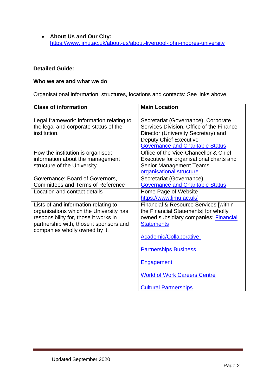**About Us and Our City:** <https://www.ljmu.ac.uk/about-us/about-liverpool-john-moores-university>

#### **Detailed Guide:**

#### **Who we are and what we do**

Organisational information, structures, locations and contacts: See links above.

| <b>Class of information</b>                                                                                                                                                                         | <b>Main Location</b>                                                                                                                                                                               |
|-----------------------------------------------------------------------------------------------------------------------------------------------------------------------------------------------------|----------------------------------------------------------------------------------------------------------------------------------------------------------------------------------------------------|
| Legal framework: information relating to<br>the legal and corporate status of the<br>institution.                                                                                                   | Secretariat (Governance), Corporate<br>Services Division, Office of the Finance<br>Director (University Secretary) and<br><b>Deputy Chief Executive</b><br><b>Governance and Charitable Status</b> |
| How the institution is organised:<br>information about the management<br>structure of the University                                                                                                | Office of the Vice-Chancellor & Chief<br>Executive for organisational charts and<br><b>Senior Management Teams</b><br>organisational structure                                                     |
| Governance: Board of Governors,<br><b>Committees and Terms of Reference</b>                                                                                                                         | Secretariat (Governance)<br><b>Governance and Charitable Status</b>                                                                                                                                |
| Location and contact details                                                                                                                                                                        | Home Page of Website<br>https://www.ljmu.ac.uk/                                                                                                                                                    |
| Lists of and information relating to<br>organisations which the University has<br>responsibility for, those it works in<br>partnership with, those it sponsors and<br>companies wholly owned by it. | Financial & Resource Services [within]<br>the Financial Statements] for wholly<br>owned subsidiary companies: Financial<br><b>Statements</b><br>Academic/Collaborative                             |
|                                                                                                                                                                                                     | <b>Partnerships Business</b>                                                                                                                                                                       |
|                                                                                                                                                                                                     | <b>Engagement</b>                                                                                                                                                                                  |
|                                                                                                                                                                                                     | <b>World of Work Careers Centre</b>                                                                                                                                                                |
|                                                                                                                                                                                                     | <b>Cultural Partnerships</b>                                                                                                                                                                       |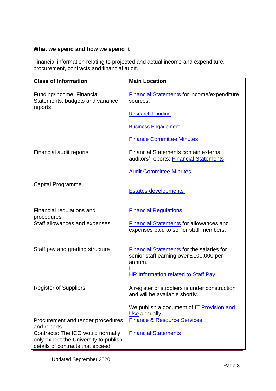#### **What we spend and how we spend it**

Financial information relating to projected and actual income and expenditure, procurement, contracts and financial audit.

| <b>Class of Information</b>                                                | <b>Main Location</b>                                                                                                                          |
|----------------------------------------------------------------------------|-----------------------------------------------------------------------------------------------------------------------------------------------|
|                                                                            |                                                                                                                                               |
| Funding/income; Financial<br>Statements, budgets and variance<br>reports:  | <b>Financial Statements</b> for income/expenditure<br>sources;                                                                                |
|                                                                            | <b>Research Funding</b>                                                                                                                       |
|                                                                            | <b>Business Engagement</b>                                                                                                                    |
|                                                                            | <b>Finance Committee Minutes</b>                                                                                                              |
| Financial audit reports                                                    | Financial Statements contain external<br>auditors' reports: Financial Statements                                                              |
|                                                                            | <b>Audit Committee Minutes</b>                                                                                                                |
| <b>Capital Programme</b>                                                   | <b>Estates developments</b>                                                                                                                   |
| Financial regulations and<br>procedures                                    | <b>Financial Regulations</b>                                                                                                                  |
| Staff allowances and expenses                                              | <b>Financial Statements for allowances and</b><br>expenses paid to senior staff members.                                                      |
| Staff pay and grading structure                                            | Financial Statements for the salaries for<br>senior staff earning over £100,000 per<br>annum.<br><b>HR Information related to Staff Pay</b>   |
| <b>Register of Suppliers</b>                                               | A register of suppliers is under construction<br>and will be available shortly.<br>We publish a document of IT Provision and<br>Use annually. |
| Procurement and tender procedures<br>and reports                           | <b>Finance &amp; Resource Services</b>                                                                                                        |
| Contracts: The ICO would normally<br>only expect the University to publish | <b>Financial Statements</b>                                                                                                                   |
| details of contracts that exceed                                           |                                                                                                                                               |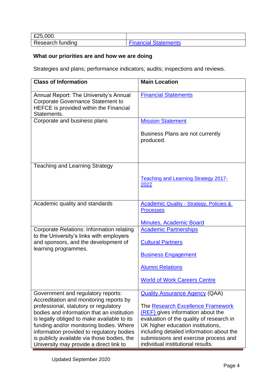| £25,000.         |                             |
|------------------|-----------------------------|
| Research funding | <b>Financial Statements</b> |

# **What our priorities are and how we are doing**

Strategies and plans; performance indicators; audits; inspections and reviews.

| <b>Class of Information</b>                                                                                                                                                                                                                                                                                                                                                                           | <b>Main Location</b>                                                                                                                                                                                                                                                                                                      |
|-------------------------------------------------------------------------------------------------------------------------------------------------------------------------------------------------------------------------------------------------------------------------------------------------------------------------------------------------------------------------------------------------------|---------------------------------------------------------------------------------------------------------------------------------------------------------------------------------------------------------------------------------------------------------------------------------------------------------------------------|
| Annual Report: The University's Annual<br><b>Corporate Governance Statement to</b><br>HEFCE is provided within the Financial<br>Statements.                                                                                                                                                                                                                                                           | <b>Financial Statements</b>                                                                                                                                                                                                                                                                                               |
| Corporate and business plans                                                                                                                                                                                                                                                                                                                                                                          | <b>Mission Statement</b><br>Business Plans are not currently<br>produced.                                                                                                                                                                                                                                                 |
| <b>Teaching and Learning Strategy</b>                                                                                                                                                                                                                                                                                                                                                                 | <b>Teaching and Learning Strategy 2017-</b><br>2022                                                                                                                                                                                                                                                                       |
| Academic quality and standards                                                                                                                                                                                                                                                                                                                                                                        | <b>Academic Quality - Strategy, Policies &amp;</b><br><b>Processes</b><br><b>Minutes, Academic Board</b>                                                                                                                                                                                                                  |
| <b>Corporate Relations: Information relating</b><br>to the University's links with employers<br>and sponsors, and the development of<br>learning programmes.                                                                                                                                                                                                                                          | <b>Academic Partnerships</b><br><b>Cultural Partners</b><br><b>Business Engagement</b><br><b>Alumni Relations</b><br><b>World of Work Careers Centre</b>                                                                                                                                                                  |
| Government and regulatory reports:<br>Accreditation and monitoring reports by<br>professional, statutory or regulatory<br>bodies and information that an institution<br>is legally obliged to make available to its<br>funding and/or monitoring bodies. Where<br>information provided to regulatory bodies<br>is publicly available via those bodies, the<br>University may provide a direct link to | <b>Quality Assurance Agency (QAA)</b><br>The Research Excellence Framework<br>(REF) gives information about the<br>evaluation of the quality of research in<br>UK higher education institutions,<br>including detailed information about the<br>submissions and exercise process and<br>individual institutional results. |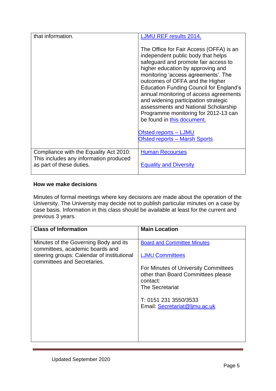| that information.                                                                | <b>LJMU REF results 2014.</b>                                                                                                                                                                                                                                                                                                                                                                                                                                                          |
|----------------------------------------------------------------------------------|----------------------------------------------------------------------------------------------------------------------------------------------------------------------------------------------------------------------------------------------------------------------------------------------------------------------------------------------------------------------------------------------------------------------------------------------------------------------------------------|
|                                                                                  | The Office for Fair Access (OFFA) is an<br>independent public body that helps<br>safeguard and promote fair access to<br>higher education by approving and<br>monitoring 'access agreements'. The<br>outcomes of OFFA and the Higher<br><b>Education Funding Council for England's</b><br>annual monitoring of access agreements<br>and widening participation strategic<br>assessments and National Scholarship<br>Programme monitoring for 2012-13 can<br>be found in this document. |
|                                                                                  | <b>Ofsted reports - LJMU</b>                                                                                                                                                                                                                                                                                                                                                                                                                                                           |
|                                                                                  | <b>Ofsted reports - Marsh Sports</b>                                                                                                                                                                                                                                                                                                                                                                                                                                                   |
| Compliance with the Equality Act 2010:<br>This includes any information produced | <b>Human Recourses</b>                                                                                                                                                                                                                                                                                                                                                                                                                                                                 |
| as part of these duties.                                                         | <b>Equality and Diversity</b>                                                                                                                                                                                                                                                                                                                                                                                                                                                          |

#### **How we make decisions**

Minutes of formal meetings where key decisions are made about the operation of the University. The University may decide not to publish particular minutes on a case by case basis. Information in this class should be available at least for the current and previous 3 years.

| <b>Class of Information</b>                                               | <b>Main Location</b>                                                                   |
|---------------------------------------------------------------------------|----------------------------------------------------------------------------------------|
| Minutes of the Governing Body and its<br>committees, academic boards and  | <b>Board and Committee Minutes</b>                                                     |
| steering groups: Calendar of institutional<br>committees and Secretaries. | <b>LJMU Committees</b>                                                                 |
|                                                                           | For Minutes of University Committees<br>other than Board Committees please<br>contact: |
|                                                                           | The Secretariat                                                                        |
|                                                                           | T: 0151 231 3550/3533<br>Email: Secretariat@ljmu.ac.uk                                 |
|                                                                           |                                                                                        |
|                                                                           |                                                                                        |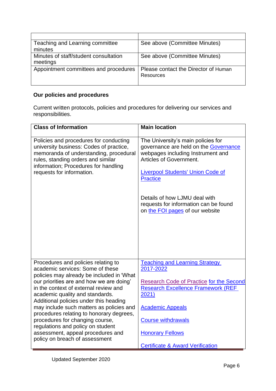| Teaching and Learning committee       | See above (Committee Minutes)                     |
|---------------------------------------|---------------------------------------------------|
| minutes                               |                                                   |
| Minutes of staff/student consultation | See above (Committee Minutes)                     |
| meetings                              |                                                   |
| Appointment committees and procedures | Please contact the Director of Human<br>Resources |
|                                       |                                                   |

# **Our policies and procedures**

Current written protocols, policies and procedures for delivering our services and responsibilities.

| <b>Class of Information</b>                                                                                                                                                                                                            | <b>Main location</b>                                                                                                                                                                                                                                                                                                    |
|----------------------------------------------------------------------------------------------------------------------------------------------------------------------------------------------------------------------------------------|-------------------------------------------------------------------------------------------------------------------------------------------------------------------------------------------------------------------------------------------------------------------------------------------------------------------------|
| Policies and procedures for conducting<br>university business: Codes of practice,<br>memoranda of understanding, procedural<br>rules, standing orders and similar<br>information; Procedures for handling<br>requests for information. | The University's main policies for<br>governance are held on the Governance<br>webpages including Instrument and<br>Articles of Government.<br><b>Liverpool Students' Union Code of</b><br><b>Practice</b><br>Details of how LJMU deal with<br>requests for information can be found<br>on the FOI pages of our website |
| Procedures and policies relating to<br>academic services: Some of these<br>policies may already be included in 'What                                                                                                                   | <b>Teaching and Learning Strategy</b><br>2017-2022                                                                                                                                                                                                                                                                      |
| our priorities are and how we are doing'<br>in the context of external review and<br>academic quality and standards.<br>Additional policies under this heading                                                                         | <b>Research Code of Practice for the Second</b><br><b>Research Excellence Framework (REF</b><br>2021)                                                                                                                                                                                                                   |
| may include such matters as policies and<br>procedures relating to honorary degrees,                                                                                                                                                   | <b>Academic Appeals</b>                                                                                                                                                                                                                                                                                                 |
| procedures for changing course,<br>regulations and policy on student                                                                                                                                                                   | <b>Course withdrawals</b>                                                                                                                                                                                                                                                                                               |
| assessment, appeal procedures and<br>policy on breach of assessment                                                                                                                                                                    | <b>Honorary Fellows</b>                                                                                                                                                                                                                                                                                                 |
|                                                                                                                                                                                                                                        | <b>Certificate &amp; Award Verification</b>                                                                                                                                                                                                                                                                             |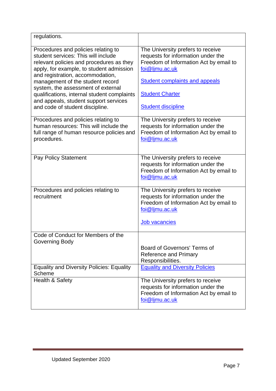| regulations.                                                                                                                                                                                                                                                                                                                                                                                                |                                                                                                                                                                                                                                     |
|-------------------------------------------------------------------------------------------------------------------------------------------------------------------------------------------------------------------------------------------------------------------------------------------------------------------------------------------------------------------------------------------------------------|-------------------------------------------------------------------------------------------------------------------------------------------------------------------------------------------------------------------------------------|
| Procedures and policies relating to<br>student services: This will include<br>relevant policies and procedures as they<br>apply, for example, to student admission<br>and registration, accommodation,<br>management of the student record<br>system, the assessment of external<br>qualifications, internal student complaints<br>and appeals, student support services<br>and code of student discipline. | The University prefers to receive<br>requests for information under the<br>Freedom of Information Act by email to<br>foi@ljmu.ac.uk<br><b>Student complaints and appeals</b><br><b>Student Charter</b><br><b>Student discipline</b> |
| Procedures and policies relating to<br>human resources: This will include the<br>full range of human resource policies and<br>procedures.                                                                                                                                                                                                                                                                   | The University prefers to receive<br>requests for information under the<br>Freedom of Information Act by email to<br>foi@ljmu.ac.uk                                                                                                 |
| <b>Pay Policy Statement</b>                                                                                                                                                                                                                                                                                                                                                                                 | The University prefers to receive<br>requests for information under the<br>Freedom of Information Act by email to<br>foi@ljmu.ac.uk                                                                                                 |
| Procedures and policies relating to<br>recruitment                                                                                                                                                                                                                                                                                                                                                          | The University prefers to receive<br>requests for information under the<br>Freedom of Information Act by email to<br>foi@ljmu.ac.uk<br><b>Job vacancies</b>                                                                         |
| Code of Conduct for Members of the<br>Governing Body                                                                                                                                                                                                                                                                                                                                                        | Board of Governors' Terms of                                                                                                                                                                                                        |
|                                                                                                                                                                                                                                                                                                                                                                                                             | <b>Reference and Primary</b><br>Responsibilities.                                                                                                                                                                                   |
| <b>Equality and Diversity Policies: Equality</b><br>Scheme                                                                                                                                                                                                                                                                                                                                                  | <b>Equality and Diversity Policies</b>                                                                                                                                                                                              |
| Health & Safety                                                                                                                                                                                                                                                                                                                                                                                             | The University prefers to receive<br>requests for information under the<br>Freedom of Information Act by email to<br>foi@ljmu.ac.uk                                                                                                 |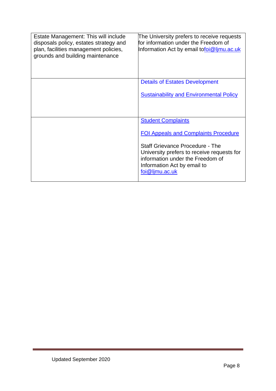| Estate Management: This will include<br>disposals policy, estates strategy and<br>plan, facilities management policies,<br>grounds and building maintenance | The University prefers to receive requests<br>for information under the Freedom of<br>Information Act by email tofoi@ljmu.ac.uk                                                                                                                       |
|-------------------------------------------------------------------------------------------------------------------------------------------------------------|-------------------------------------------------------------------------------------------------------------------------------------------------------------------------------------------------------------------------------------------------------|
|                                                                                                                                                             | <b>Details of Estates Development</b><br><b>Sustainability and Environmental Policy</b>                                                                                                                                                               |
|                                                                                                                                                             | <b>Student Complaints</b><br><b>FOI Appeals and Complaints Procedure</b><br><b>Staff Grievance Procedure - The</b><br>University prefers to receive requests for<br>information under the Freedom of<br>Information Act by email to<br>foi@ljmu.ac.uk |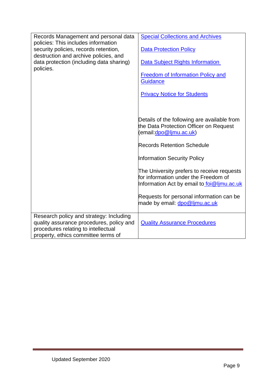| Records Management and personal data                                                                                                                              | <b>Special Collections and Archives</b>                                                                                          |
|-------------------------------------------------------------------------------------------------------------------------------------------------------------------|----------------------------------------------------------------------------------------------------------------------------------|
| policies: This includes information<br>security policies, records retention,<br>destruction and archive policies, and                                             | <b>Data Protection Policy</b>                                                                                                    |
| data protection (including data sharing)<br>policies.                                                                                                             | <b>Data Subject Rights Information</b>                                                                                           |
|                                                                                                                                                                   | Freedom of Information Policy and<br><b>Guidance</b>                                                                             |
|                                                                                                                                                                   | <b>Privacy Notice for Students</b>                                                                                               |
|                                                                                                                                                                   |                                                                                                                                  |
|                                                                                                                                                                   | Details of the following are available from<br>the Data Protection Officer on Request<br>(email: dpo@ljmu.ac.uk)                 |
|                                                                                                                                                                   | <b>Records Retention Schedule</b>                                                                                                |
|                                                                                                                                                                   | <b>Information Security Policy</b>                                                                                               |
|                                                                                                                                                                   | The University prefers to receive requests<br>for information under the Freedom of<br>Information Act by email to foi@limu.ac.uk |
|                                                                                                                                                                   | Requests for personal information can be<br>made by email: dpo@ljmu.ac.uk                                                        |
| Research policy and strategy: Including<br>quality assurance procedures, policy and<br>procedures relating to intellectual<br>property, ethics committee terms of | <b>Quality Assurance Procedures</b>                                                                                              |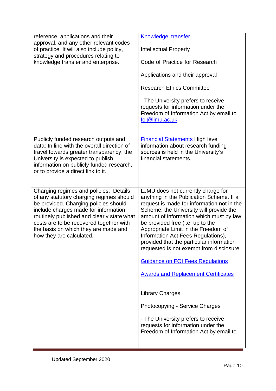| reference, applications and their<br>approval, and any other relevant codes<br>of practice. It will also include policy,<br>strategy and procedures relating to<br>knowledge transfer and enterprise.                                                                                                                            | Knowledge transfer<br><b>Intellectual Property</b><br>Code of Practice for Research<br>Applications and their approval<br><b>Research Ethics Committee</b><br>- The University prefers to receive<br>requests for information under the<br>Freedom of Information Act by email to<br>foi@ljmu.ac.uk                                                                                                                                                                                                                                                                                                                                                                                                     |
|----------------------------------------------------------------------------------------------------------------------------------------------------------------------------------------------------------------------------------------------------------------------------------------------------------------------------------|---------------------------------------------------------------------------------------------------------------------------------------------------------------------------------------------------------------------------------------------------------------------------------------------------------------------------------------------------------------------------------------------------------------------------------------------------------------------------------------------------------------------------------------------------------------------------------------------------------------------------------------------------------------------------------------------------------|
| Publicly funded research outputs and<br>data: In line with the overall direction of<br>travel towards greater transparency, the<br>University is expected to publish<br>information on publicly funded research,<br>or to provide a direct link to it.                                                                           | <b>Financial Statements High level</b><br>information about research funding<br>sources is held in the University's<br>financial statements.                                                                                                                                                                                                                                                                                                                                                                                                                                                                                                                                                            |
| Charging regimes and policies: Details<br>of any statutory charging regimes should<br>be provided. Charging policies should<br>include charges made for information<br>routinely published and clearly state what<br>costs are to be recovered together with<br>the basis on which they are made and<br>how they are calculated. | LJMU does not currently charge for<br>anything in the Publication Scheme. If a<br>request is made for information not in the<br>Scheme, the University will provide the<br>amount of information which must by law<br>be provided free (i.e. up to the<br>Appropriate Limit in the Freedom of<br>Information Act Fees Regulations),<br>provided that the particular information<br>requested is not exempt from disclosure.<br><b>Guidance on FOI Fees Regulations</b><br><b>Awards and Replacement Certificates</b><br><b>Library Charges</b><br>Photocopying - Service Charges<br>- The University prefers to receive<br>requests for information under the<br>Freedom of Information Act by email to |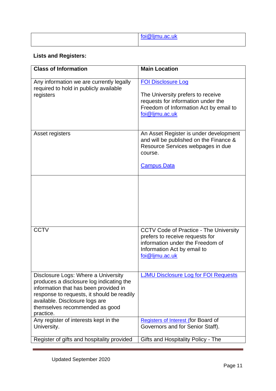| $\sim$ $\sim$ $\sim$<br>ш |
|---------------------------|
|                           |

# **Lists and Registers:**

| <b>Class of Information</b>                                                                                                                                                                                                                             | <b>Main Location</b>                                                                                                                                                  |
|---------------------------------------------------------------------------------------------------------------------------------------------------------------------------------------------------------------------------------------------------------|-----------------------------------------------------------------------------------------------------------------------------------------------------------------------|
| Any information we are currently legally<br>required to hold in publicly available<br>registers                                                                                                                                                         | <b>FOI Disclosure Log</b><br>The University prefers to receive<br>requests for information under the<br>Freedom of Information Act by email to<br>foi@ljmu.ac.uk      |
| Asset registers                                                                                                                                                                                                                                         | An Asset Register is under development<br>and will be published on the Finance &<br>Resource Services webpages in due<br>course.<br><b>Campus Data</b>                |
|                                                                                                                                                                                                                                                         |                                                                                                                                                                       |
| <b>CCTV</b>                                                                                                                                                                                                                                             | <b>CCTV Code of Practice - The University</b><br>prefers to receive requests for<br>information under the Freedom of<br>Information Act by email to<br>foi@ljmu.ac.uk |
| Disclosure Logs: Where a University<br>produces a disclosure log indicating the<br>information that has been provided in<br>response to requests, it should be readily<br>available. Disclosure logs are<br>themselves recommended as good<br>practice. | <b>LJMU Disclosure Log for FOI Requests</b>                                                                                                                           |
| Any register of interests kept in the<br>University.                                                                                                                                                                                                    | <b>Registers of Interest (for Board of</b><br>Governors and for Senior Staff).                                                                                        |
| Register of gifts and hospitality provided                                                                                                                                                                                                              | Gifts and Hospitality Policy - The                                                                                                                                    |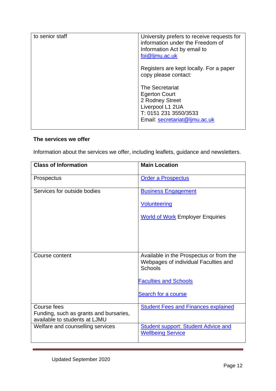| to senior staff | University prefers to receive requests for<br>information under the Freedom of<br>Information Act by email to<br>foi@ljmu.ac.uk                 |
|-----------------|-------------------------------------------------------------------------------------------------------------------------------------------------|
|                 | Registers are kept locally. For a paper<br>copy please contact:                                                                                 |
|                 | <b>The Secretariat</b><br><b>Egerton Court</b><br>2 Rodney Street<br>Liverpool L1 2UA<br>T: 0151 231 3550/3533<br>Email: secretariat@ljmu.ac.uk |

### **The services we offer**

Information about the services we offer, including leaflets, guidance and newsletters.

| <b>Class of Information</b>                                             | <b>Main Location</b>                                                                              |
|-------------------------------------------------------------------------|---------------------------------------------------------------------------------------------------|
| Prospectus                                                              | <b>Order a Prospectus</b>                                                                         |
| Services for outside bodies                                             | <b>Business Engagement</b>                                                                        |
|                                                                         | <b>Volunteering</b>                                                                               |
|                                                                         | <b>World of Work Employer Enquiries</b>                                                           |
|                                                                         |                                                                                                   |
|                                                                         |                                                                                                   |
| Course content                                                          | Available in the Prospectus or from the<br>Webpages of individual Faculties and<br><b>Schools</b> |
|                                                                         | <b>Faculties and Schools</b>                                                                      |
|                                                                         | Search for a course                                                                               |
| Course fees                                                             | <b>Student Fees and Finances explained</b>                                                        |
| Funding, such as grants and bursaries,<br>available to students at LJMU |                                                                                                   |
| Welfare and counselling services                                        | <b>Student support: Student Advice and</b><br><b>Wellbeing Service</b>                            |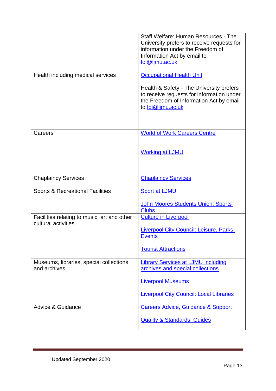|                                                                    | Staff Welfare: Human Resources - The<br>University prefers to receive requests for<br>information under the Freedom of<br>Information Act by email to<br>foi@ljmu.ac.uk                  |
|--------------------------------------------------------------------|------------------------------------------------------------------------------------------------------------------------------------------------------------------------------------------|
| Health including medical services                                  | <b>Occupational Health Unit</b><br>Health & Safety - The University prefers<br>to receive requests for information under<br>the Freedom of Information Act by email<br>to foi@ljmu.ac.uk |
| Careers                                                            | <b>World of Work Careers Centre</b><br><b>Working at LJMU</b>                                                                                                                            |
| <b>Chaplaincy Services</b>                                         | <b>Chaplaincy Services</b>                                                                                                                                                               |
| <b>Sports &amp; Recreational Facilities</b>                        | <b>Sport at LJMU</b><br><b>John Moores Students Union: Sports</b><br><b>Clubs</b>                                                                                                        |
| Facilities relating to music, art and other<br>cultural activities | <b>Culture in Liverpool</b><br>Liverpool City Council: Leisure, Parks,<br><b>Events</b><br><b>Tourist Attractions</b>                                                                    |
| Museums, libraries, special collections<br>and archives            | <b>Library Services at LJMU including</b><br>archives and special collections<br><b>Liverpool Museums</b><br><b>Liverpool City Council: Local Libraries</b>                              |
| Advice & Guidance                                                  | <b>Careers Advice, Guidance &amp; Support</b><br><b>Quality &amp; Standards: Guides</b>                                                                                                  |